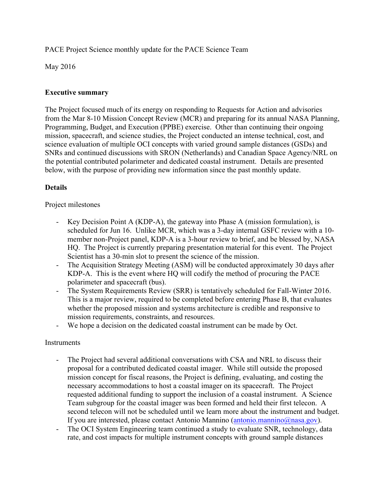PACE Project Science monthly update for the PACE Science Team

May 2016

## **Executive summary**

The Project focused much of its energy on responding to Requests for Action and advisories from the Mar 8-10 Mission Concept Review (MCR) and preparing for its annual NASA Planning, Programming, Budget, and Execution (PPBE) exercise. Other than continuing their ongoing mission, spacecraft, and science studies, the Project conducted an intense technical, cost, and science evaluation of multiple OCI concepts with varied ground sample distances (GSDs) and SNRs and continued discussions with SRON (Netherlands) and Canadian Space Agency/NRL on the potential contributed polarimeter and dedicated coastal instrument. Details are presented below, with the purpose of providing new information since the past monthly update.

### **Details**

#### Project milestones

- Key Decision Point A (KDP-A), the gateway into Phase A (mission formulation), is scheduled for Jun 16. Unlike MCR, which was a 3-day internal GSFC review with a 10 member non-Project panel, KDP-A is a 3-hour review to brief, and be blessed by, NASA HQ. The Project is currently preparing presentation material for this event. The Project Scientist has a 30-min slot to present the science of the mission.
- The Acquisition Strategy Meeting (ASM) will be conducted approximately 30 days after KDP-A. This is the event where HQ will codify the method of procuring the PACE polarimeter and spacecraft (bus).
- The System Requirements Review (SRR) is tentatively scheduled for Fall-Winter 2016. This is a major review, required to be completed before entering Phase B, that evaluates whether the proposed mission and systems architecture is credible and responsive to mission requirements, constraints, and resources.
- We hope a decision on the dedicated coastal instrument can be made by Oct.

#### **Instruments**

- The Project had several additional conversations with CSA and NRL to discuss their proposal for a contributed dedicated coastal imager. While still outside the proposed mission concept for fiscal reasons, the Project is defining, evaluating, and costing the necessary accommodations to host a coastal imager on its spacecraft. The Project requested additional funding to support the inclusion of a coastal instrument. A Science Team subgroup for the coastal imager was been formed and held their first telecon. A second telecon will not be scheduled until we learn more about the instrument and budget. If you are interested, please contact Antonio Mannino (antonio.mannino@nasa.gov).
- The OCI System Engineering team continued a study to evaluate SNR, technology, data rate, and cost impacts for multiple instrument concepts with ground sample distances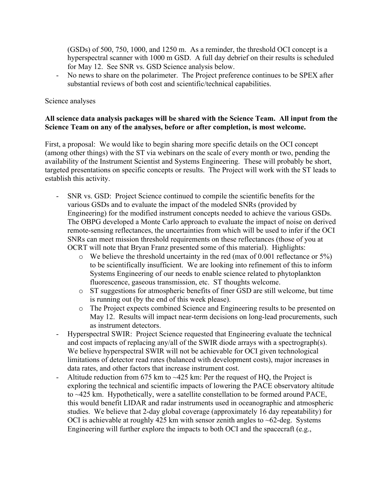(GSDs) of 500, 750, 1000, and 1250 m. As a reminder, the threshold OCI concept is a hyperspectral scanner with 1000 m GSD. A full day debrief on their results is scheduled for May 12. See SNR vs. GSD Science analysis below.

- No news to share on the polarimeter. The Project preference continues to be SPEX after substantial reviews of both cost and scientific/technical capabilities.

#### Science analyses

### **All science data analysis packages will be shared with the Science Team. All input from the Science Team on any of the analyses, before or after completion, is most welcome.**

First, a proposal: We would like to begin sharing more specific details on the OCI concept (among other things) with the ST via webinars on the scale of every month or two, pending the availability of the Instrument Scientist and Systems Engineering. These will probably be short, targeted presentations on specific concepts or results. The Project will work with the ST leads to establish this activity.

- SNR vs. GSD: Project Science continued to compile the scientific benefits for the various GSDs and to evaluate the impact of the modeled SNRs (provided by Engineering) for the modified instrument concepts needed to achieve the various GSDs. The OBPG developed a Monte Carlo approach to evaluate the impact of noise on derived remote-sensing reflectances, the uncertainties from which will be used to infer if the OCI SNRs can meet mission threshold requirements on these reflectances (those of you at OCRT will note that Bryan Franz presented some of this material). Highlights:
	- o We believe the threshold uncertainty in the red (max of 0.001 reflectance or 5%) to be scientifically insufficient. We are looking into refinement of this to inform Systems Engineering of our needs to enable science related to phytoplankton fluorescence, gaseous transmission, etc. ST thoughts welcome.
	- o ST suggestions for atmospheric benefits of finer GSD are still welcome, but time is running out (by the end of this week please).
	- o The Project expects combined Science and Engineering results to be presented on May 12. Results will impact near-term decisions on long-lead procurements, such as instrument detectors.
- Hyperspectral SWIR: Project Science requested that Engineering evaluate the technical and cost impacts of replacing any/all of the SWIR diode arrays with a spectrograph(s). We believe hyperspectral SWIR will not be achievable for OCI given technological limitations of detector read rates (balanced with development costs), major increases in data rates, and other factors that increase instrument cost.
- Altitude reduction from 675 km to  $\sim$ 425 km: Per the request of HQ, the Project is exploring the technical and scientific impacts of lowering the PACE observatory altitude to ~425 km. Hypothetically, were a satellite constellation to be formed around PACE, this would benefit LIDAR and radar instruments used in oceanographic and atmospheric studies. We believe that 2-day global coverage (approximately 16 day repeatability) for OCI is achievable at roughly 425 km with sensor zenith angles to  $\sim$  62-deg. Systems Engineering will further explore the impacts to both OCI and the spacecraft (e.g.,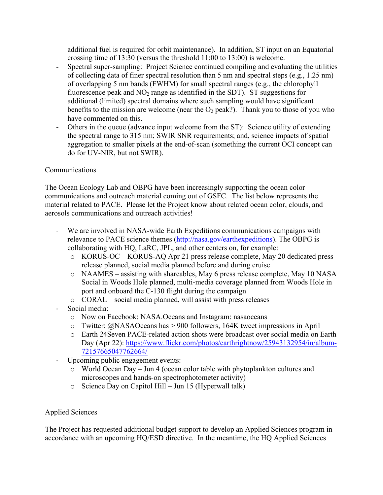additional fuel is required for orbit maintenance). In addition, ST input on an Equatorial crossing time of 13:30 (versus the threshold 11:00 to 13:00) is welcome.

- Spectral super-sampling: Project Science continued compiling and evaluating the utilities of collecting data of finer spectral resolution than 5 nm and spectral steps (e.g., 1.25 nm) of overlapping 5 nm bands (FWHM) for small spectral ranges (e.g., the chlorophyll fluorescence peak and  $NO<sub>2</sub>$  range as identified in the SDT). ST suggestions for additional (limited) spectral domains where such sampling would have significant benefits to the mission are welcome (near the  $O_2$  peak?). Thank you to those of you who have commented on this.
- Others in the queue (advance input welcome from the ST): Science utility of extending the spectral range to 315 nm; SWIR SNR requirements; and, science impacts of spatial aggregation to smaller pixels at the end-of-scan (something the current OCI concept can do for UV-NIR, but not SWIR).

# Communications

The Ocean Ecology Lab and OBPG have been increasingly supporting the ocean color communications and outreach material coming out of GSFC. The list below represents the material related to PACE. Please let the Project know about related ocean color, clouds, and aerosols communications and outreach activities!

- We are involved in NASA-wide Earth Expeditions communications campaigns with relevance to PACE science themes (http://nasa.gov/earthexpeditions). The OBPG is collaborating with HQ, LaRC, JPL, and other centers on, for example:
	- o KORUS-OC KORUS-AQ Apr 21 press release complete, May 20 dedicated press release planned, social media planned before and during cruise
	- o NAAMES assisting with shareables, May 6 press release complete, May 10 NASA Social in Woods Hole planned, multi-media coverage planned from Woods Hole in port and onboard the C-130 flight during the campaign
	- o CORAL social media planned, will assist with press releases
- Social media:
	- o Now on Facebook: NASA.Oceans and Instagram: nasaoceans
	- o Twitter: @NASAOceans has > 900 followers, 164K tweet impressions in April
	- o Earth 24Seven PACE-related action shots were broadcast over social media on Earth Day (Apr 22): https://www.flickr.com/photos/earthrightnow/25943132954/in/album-72157665047762664/
- Upcoming public engagement events:
	- o World Ocean Day Jun 4 (ocean color table with phytoplankton cultures and microscopes and hands-on spectrophotometer activity)
	- o Science Day on Capitol Hill Jun 15 (Hyperwall talk)

# Applied Sciences

The Project has requested additional budget support to develop an Applied Sciences program in accordance with an upcoming HQ/ESD directive. In the meantime, the HQ Applied Sciences